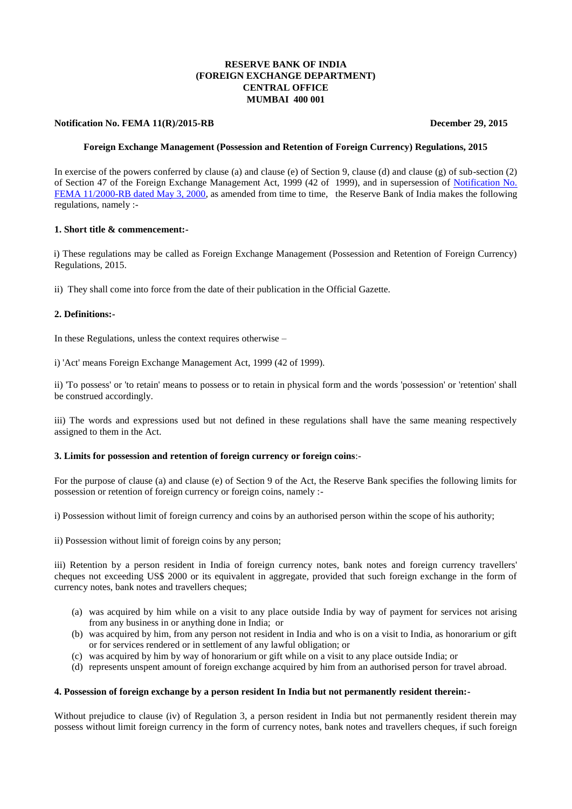# **RESERVE BANK OF INDIA (FOREIGN EXCHANGE DEPARTMENT) CENTRAL OFFICE MUMBAI 400 001**

## **Notification No. FEMA 11(R)/2015-RB** December 29, 2015

# **Foreign Exchange Management (Possession and Retention of Foreign Currency) Regulations, 2015**

In exercise of the powers conferred by clause (a) and clause (e) of Section 9, clause (d) and clause (g) of sub-section (2) of Section 47 of the Foreign Exchange Management Act, 1999 (42 of 1999), and in supersession of [Notification No.](https://www.rbi.org.in/Scripts/BS_FemaNotifications.aspx?Id=165)  [FEMA 11/2000-RB dated May 3, 2000,](https://www.rbi.org.in/Scripts/BS_FemaNotifications.aspx?Id=165) as amended from time to time, the Reserve Bank of India makes the following regulations, namely :-

## **1. Short title & commencement:-**

i) These regulations may be called as Foreign Exchange Management (Possession and Retention of Foreign Currency) Regulations, 2015.

ii) They shall come into force from the date of their publication in the Official Gazette.

## **2. Definitions:-**

In these Regulations, unless the context requires otherwise –

i) 'Act' means Foreign Exchange Management Act, 1999 (42 of 1999).

ii) 'To possess' or 'to retain' means to possess or to retain in physical form and the words 'possession' or 'retention' shall be construed accordingly.

iii) The words and expressions used but not defined in these regulations shall have the same meaning respectively assigned to them in the Act.

#### **3. Limits for possession and retention of foreign currency or foreign coins**:-

For the purpose of clause (a) and clause (e) of Section 9 of the Act, the Reserve Bank specifies the following limits for possession or retention of foreign currency or foreign coins, namely :-

i) Possession without limit of foreign currency and coins by an authorised person within the scope of his authority;

ii) Possession without limit of foreign coins by any person;

iii) Retention by a person resident in India of foreign currency notes, bank notes and foreign currency travellers' cheques not exceeding US\$ 2000 or its equivalent in aggregate, provided that such foreign exchange in the form of currency notes, bank notes and travellers cheques;

- (a) was acquired by him while on a visit to any place outside India by way of payment for services not arising from any business in or anything done in India; or
- (b) was acquired by him, from any person not resident in India and who is on a visit to India, as honorarium or gift or for services rendered or in settlement of any lawful obligation; or
- (c) was acquired by him by way of honorarium or gift while on a visit to any place outside India; or
- (d) represents unspent amount of foreign exchange acquired by him from an authorised person for travel abroad.

## **4. Possession of foreign exchange by a person resident In India but not permanently resident therein:-**

Without prejudice to clause (iv) of Regulation 3, a person resident in India but not permanently resident therein may possess without limit foreign currency in the form of currency notes, bank notes and travellers cheques, if such foreign